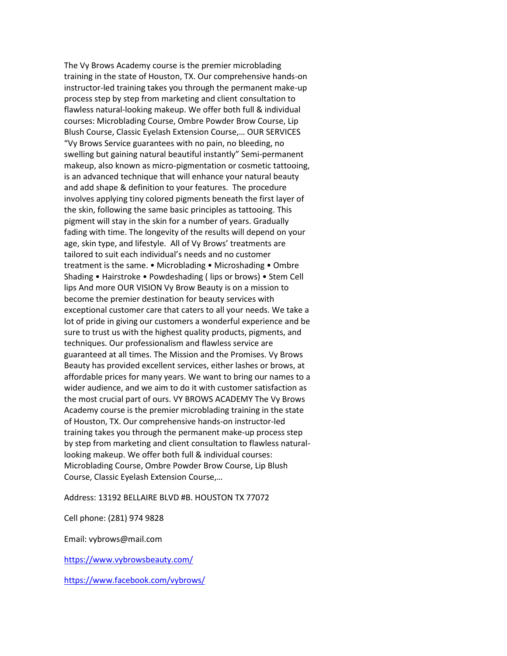The Vy Brows Academy course is the premier microblading training in the state of Houston, TX. Our comprehensive hands-on instructor-led training takes you through the permanent make-up process step by step from marketing and client consultation to flawless natural-looking makeup. We offer both full & individual courses: Microblading Course, Ombre Powder Brow Course, Lip Blush Course, Classic Eyelash Extension Course,… OUR SERVICES "Vy Brows Service guarantees with no pain, no bleeding, no swelling but gaining natural beautiful instantly" Semi-permanent makeup, also known as micro-pigmentation or cosmetic tattooing, is an advanced technique that will enhance your natural beauty and add shape & definition to your features. The procedure involves applying tiny colored pigments beneath the first layer of the skin, following the same basic principles as tattooing. This pigment will stay in the skin for a number of years. Gradually fading with time. The longevity of the results will depend on your age, skin type, and lifestyle. All of Vy Brows' treatments are tailored to suit each individual's needs and no customer treatment is the same. • Microblading • Microshading • Ombre Shading • Hairstroke • Powdeshading ( lips or brows) • Stem Cell lips And more OUR VISION Vy Brow Beauty is on a mission to become the premier destination for beauty services with exceptional customer care that caters to all your needs. We take a lot of pride in giving our customers a wonderful experience and be sure to trust us with the highest quality products, pigments, and techniques. Our professionalism and flawless service are guaranteed at all times. The Mission and the Promises. Vy Brows Beauty has provided excellent services, either lashes or brows, at affordable prices for many years. We want to bring our names to a wider audience, and we aim to do it with customer satisfaction as the most crucial part of ours. VY BROWS ACADEMY The Vy Brows Academy course is the premier microblading training in the state of Houston, TX. Our comprehensive hands-on instructor-led training takes you through the permanent make-up process step by step from marketing and client consultation to flawless naturallooking makeup. We offer both full & individual courses: Microblading Course, Ombre Powder Brow Course, Lip Blush Course, Classic Eyelash Extension Course,…

Address: 13192 BELLAIRE BLVD #B. HOUSTON TX 77072

Cell phone: (281) 974 9828

Email: vybrows@mail.com

<https://www.vybrowsbeauty.com/>

<https://www.facebook.com/vybrows/>